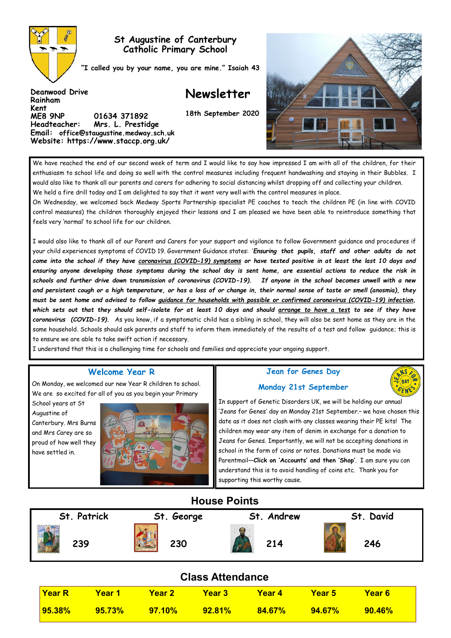

**Deanwood Drive**

**ME8 9NP 01634 371892 Headteacher: Mrs. L. Prestidge Email: office@staugustine.medway.sch.uk Website: https://www.staccp.org.uk/**

**Rainham Kent** 

### **St Augustine of Canterbury Catholic Primary School**

**"I called you by your name, you are mine." Isaiah 43**

# **Newsletter**

**18th September 2020**



We have reached the end of our second week of term and I would like to say how impressed I am with all of the children, for their enthusiasm to school life and doing so well with the control measures including frequent handwashing and staying in their Bubbles. I would also like to thank all our parents and carers for adhering to social distancing whilst dropping off and collecting your children. We held a fire drill today and I am delighted to say that it went very well with the control measures in place.

On Wednesday, we welcomed back Medway Sports Partnership specialist PE coaches to teach the children PE (in line with COVID control measures) the children thoroughly enjoyed their lessons and I am pleased we have been able to reintroduce something that feels very 'normal' to school life for our children.

I would also like to thank all of our Parent and Carers for your support and vigilance to follow Government guidance and procedures if your child experiences symptoms of COVID 19. Government Guidance states: '*Ensuring that pupils, staff and other adults do not come into the school if they have [coronavirus \(COVID](https://www.gov.uk/guidance/nhs-test-and-trace-how-it-works#people-who-develop-symptoms-of-coronavirus)-19) symptoms or have tested positive in at least the last 10 days and ensuring anyone developing those symptoms during the school day is sent home, are essential actions to reduce the risk in schools and further drive down transmission of coronavirus (COVID-19). If anyone in the school becomes unwell with a new and persistent cough or a high temperature, or has a loss of or change in, their normal sense of taste or smell (anosmia), they must be sent home and advised to follow [guidance for households with possible or confirmed coronavirus \(COVID](https://www.gov.uk/government/publications/covid-19-stay-at-home-guidance)-19) infection, which sets out that they should self-isolate for at least 10 days and should [arrange to have a test](https://www.gov.uk/guidance/coronavirus-covid-19-getting-tested) to see if they have coronavirus (COVID-19).* As you know, if a symptomatic child has a sibling in school, they will also be sent home as they are in the same household. Schools should ask parents and staff to inform them immediately of the results of a test and follow guidance; this is to ensure we are able to take swift action if necessary.

I understand that this is a challenging time for schools and families and appreciate your ongoing support.

### **Welcome Year R**

On Monday, we welcomed our new Year R children to school. We are so excited for all of you as you begin your Primary

School years at St Augustine of Canterbury. Mrs Burns and Mrs Carey are so proud of how well they have settled in.



### **Jean for Genes Day Monday 21st September**



In support of Genetic Disorders UK, we will be holding our annual 'Jeans for Genes' day on Monday 21st September.– we have chosen this date as it does not clash with any classes wearing their PE kits! The children may wear any item of denim in exchange for a donation to Jeans for Genes. Importantly, we will not be accepting donations in school in the form of coins or notes. Donations must be made via Parentmail—**Click on 'Accounts' and then 'Shop'**. I am sure you can understand this is to avoid handling of coins etc. Thank you for supporting this worthy cause.

## **House Points**

| St. Patrick | St. George | . Andrew<br>St | David<br>St. |
|-------------|------------|----------------|--------------|
| 239         | 230        | 214            | 246          |

| <b>Class Attendance</b> |               |               |           |           |           |           |  |  |
|-------------------------|---------------|---------------|-----------|-----------|-----------|-----------|--|--|
| <b>Year R</b>           | <u>Year 1</u> | <b>Year 2</b> | Year 3    | Year 4    | Year 5    | Year 6    |  |  |
| $ 95.38\% $             | 95.73%        | 97.10%        | $92.81\%$ | $84.67\%$ | $94.67\%$ | $90.46\%$ |  |  |